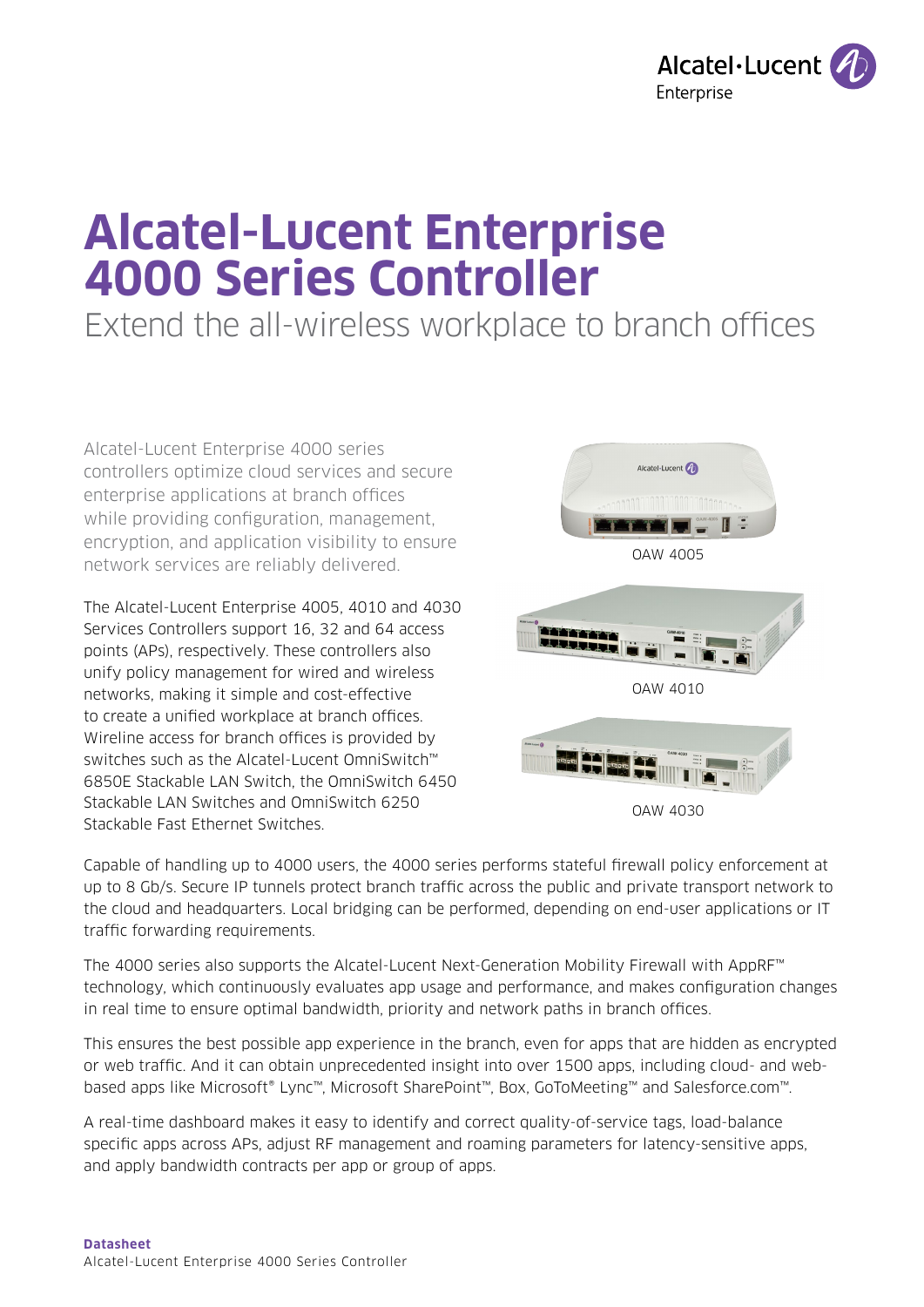

# **Alcatel-Lucent Enterprise 4000 Series Controller**

Extend the all-wireless workplace to branch offices

Alcatel-Lucent Enterprise 4000 series controllers optimize cloud services and secure enterprise applications at branch offices while providing configuration, management, encryption, and application visibility to ensure network services are reliably delivered.

The Alcatel-Lucent Enterprise 4005, 4010 and 4030 Services Controllers support 16, 32 and 64 access points (APs), respectively. These controllers also unify policy management for wired and wireless networks, making it simple and cost-effective to create a unified workplace at branch offices. Wireline access for branch offices is provided by switches such as the Alcatel-Lucent OmniSwitch™ 6850E Stackable LAN Switch, the OmniSwitch 6450 Stackable LAN Switches and OmniSwitch 6250 Stackable Fast Ethernet Switches.





OAW 4030

Capable of handling up to 4000 users, the 4000 series performs stateful firewall policy enforcement at up to 8 Gb/s. Secure IP tunnels protect branch traffic across the public and private transport network to the cloud and headquarters. Local bridging can be performed, depending on end-user applications or IT traffic forwarding requirements.

The 4000 series also supports the Alcatel-Lucent Next-Generation Mobility Firewall with AppRF™ technology, which continuously evaluates app usage and performance, and makes configuration changes in real time to ensure optimal bandwidth, priority and network paths in branch offices.

This ensures the best possible app experience in the branch, even for apps that are hidden as encrypted or web traffic. And it can obtain unprecedented insight into over 1500 apps, including cloud- and webbased apps like Microsoft® Lync™, Microsoft SharePoint™, Box, GoToMeeting™ and Salesforce.com™.

A real-time dashboard makes it easy to identify and correct quality-of-service tags, load-balance specific apps across APs, adjust RF management and roaming parameters for latency-sensitive apps, and apply bandwidth contracts per app or group of apps.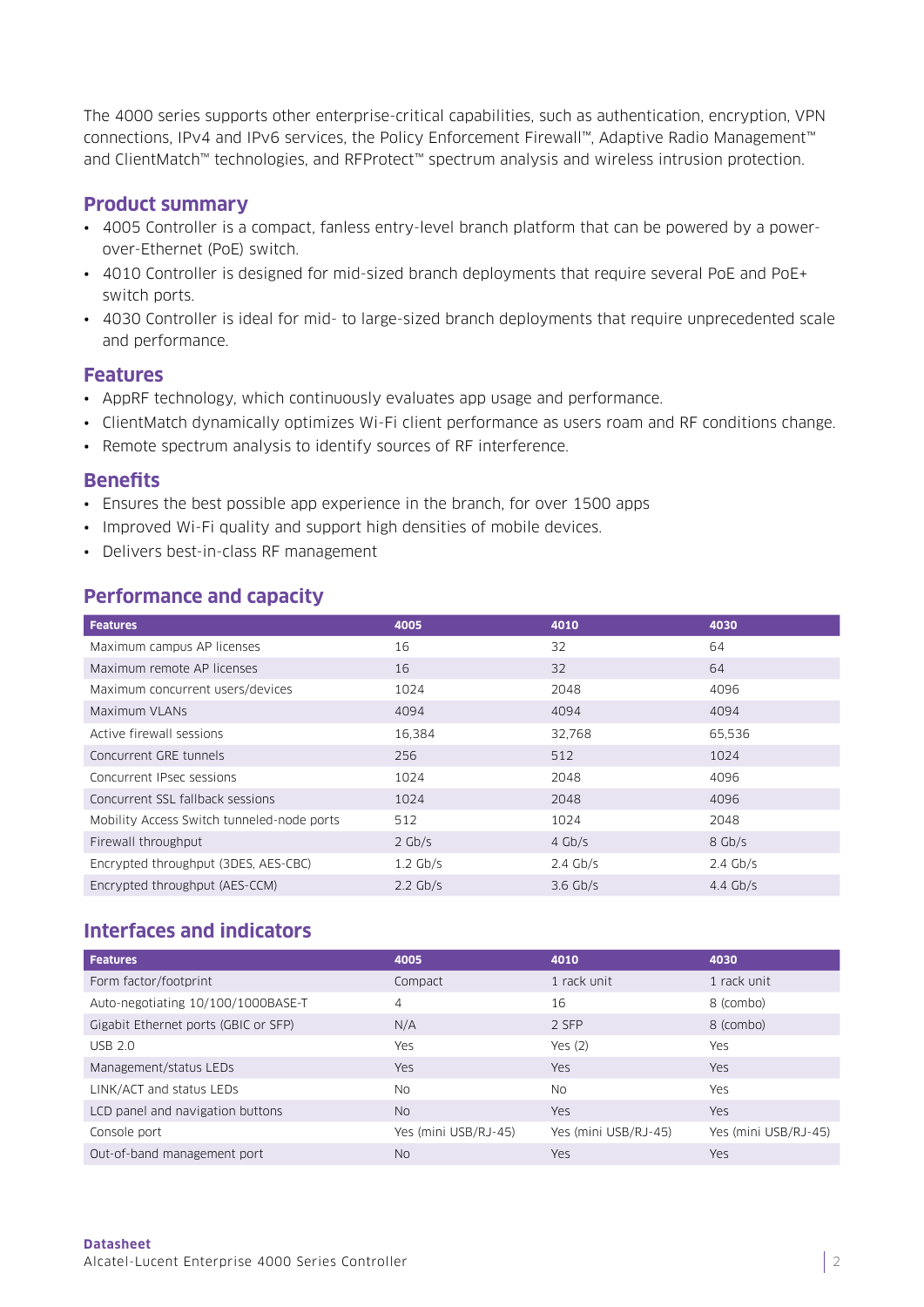The 4000 series supports other enterprise-critical capabilities, such as authentication, encryption, VPN connections, IPv4 and IPv6 services, the Policy Enforcement Firewall™, Adaptive Radio Management™ and ClientMatch™ technologies, and RFProtect™ spectrum analysis and wireless intrusion protection.

#### **Product summary**

- 4005 Controller is a compact, fanless entry-level branch platform that can be powered by a powerover-Ethernet (PoE) switch.
- 4010 Controller is designed for mid-sized branch deployments that require several PoE and PoE+ switch ports.
- 4030 Controller is ideal for mid- to large-sized branch deployments that require unprecedented scale and performance.

#### **Features**

- AppRF technology, which continuously evaluates app usage and performance.
- ClientMatch dynamically optimizes Wi-Fi client performance as users roam and RF conditions change.
- Remote spectrum analysis to identify sources of RF interference.

#### **Benefits**

- Ensures the best possible app experience in the branch, for over 1500 apps
- Improved Wi-Fi quality and support high densities of mobile devices.
- Delivers best-in-class RF management

#### **Performance and capacity**

| <b>Features</b>                            | 4005       | 4010       | 4030       |
|--------------------------------------------|------------|------------|------------|
| Maximum campus AP licenses                 | 16         | 32         | 64         |
| Maximum remote AP licenses                 | 16         | 32         | 64         |
| Maximum concurrent users/devices           | 1024       | 2048       | 4096       |
| Maximum VLANs                              | 4094       | 4094       | 4094       |
| Active firewall sessions                   | 16,384     | 32,768     | 65,536     |
| Concurrent GRE tunnels                     | 256        | 512        | 1024       |
| Concurrent IPsec sessions                  | 1024       | 2048       | 4096       |
| Concurrent SSL fallback sessions           | 1024       | 2048       | 4096       |
| Mobility Access Switch tunneled-node ports | 512        | 1024       | 2048       |
| Firewall throughput                        | $2$ Gb/s   | $4$ Gb/s   | 8 Gb/s     |
| Encrypted throughput (3DES, AES-CBC)       | $1.2$ Gb/s | $2.4$ Gb/s | $2.4$ Gb/s |
| Encrypted throughput (AES-CCM)             | $2.2$ Gb/s | $3.6$ Gb/s | $4.4$ Gb/s |

#### **Interfaces and indicators**

| <b>Features</b>                      | 4005                 | 4010                 | 4030                 |
|--------------------------------------|----------------------|----------------------|----------------------|
| Form factor/footprint                | Compact              | 1 rack unit          | 1 rack unit          |
| Auto-negotiating 10/100/1000BASE-T   | 4                    | 16                   | 8 (combo)            |
| Gigabit Ethernet ports (GBIC or SFP) | N/A                  | 2 SFP                | 8 (combo)            |
| USB 2.0                              | Yes                  | Yes $(2)$            | Yes                  |
| Management/status LEDs               | <b>Yes</b>           | <b>Yes</b>           | Yes                  |
| LINK/ACT and status LEDs             | No.                  | <b>No</b>            | Yes                  |
| LCD panel and navigation buttons     | No.                  | <b>Yes</b>           | Yes                  |
| Console port                         | Yes (mini USB/RJ-45) | Yes (mini USB/RJ-45) | Yes (mini USB/RJ-45) |
| Out-of-band management port          | <b>No</b>            | Yes                  | Yes                  |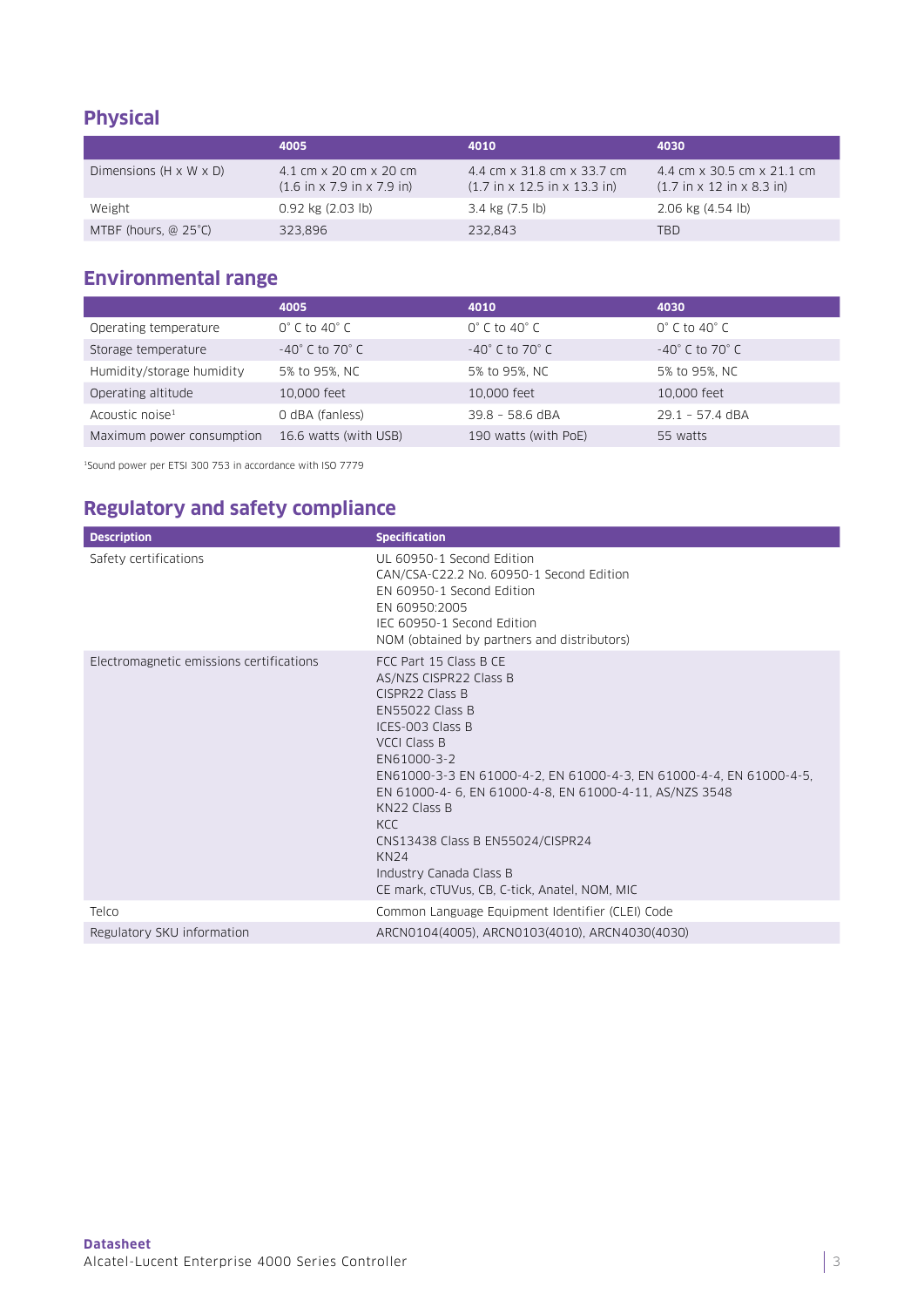# **Physical**

|                                    | 4005                                                                             | 4010                                                                                   | 4030                                                                                |
|------------------------------------|----------------------------------------------------------------------------------|----------------------------------------------------------------------------------------|-------------------------------------------------------------------------------------|
| Dimensions $(H \times W \times D)$ | 4.1 cm x 20 cm x 20 cm<br>$(1.6 \text{ in } x 7.9 \text{ in } x 7.9 \text{ in})$ | 4.4 cm x 31.8 cm x 33.7 cm<br>$(1.7 \text{ in } x 12.5 \text{ in } x 13.3 \text{ in})$ | 4.4 cm x 30.5 cm x 21.1 cm<br>$(1.7 \text{ in } x 12 \text{ in } x 8.3 \text{ in})$ |
| Weight                             | $0.92$ kg $(2.03$ lb)                                                            | 3.4 kg (7.5 lb)                                                                        | $2.06$ kg $(4.54$ lb)                                                               |
| MTBF (hours, @ 25°C)               | 323.896                                                                          | 232.843                                                                                | TBD                                                                                 |

### **Environmental range**

|                             | 4005                               | 4010                               | 4030                               |
|-----------------------------|------------------------------------|------------------------------------|------------------------------------|
| Operating temperature       | $0^{\circ}$ C to 40 $^{\circ}$ C   | $0^{\circ}$ C to 40 $^{\circ}$ C   | $0^{\circ}$ C to 40 $^{\circ}$ C   |
| Storage temperature         | $-40^{\circ}$ C to 70 $^{\circ}$ C | $-40^{\circ}$ C to 70 $^{\circ}$ C | $-40^{\circ}$ C to 70 $^{\circ}$ C |
| Humidity/storage humidity   | 5% to 95%, NC                      | 5% to 95%, NC                      | 5% to 95%, NC                      |
| Operating altitude          | 10,000 feet                        | 10,000 feet                        | 10,000 feet                        |
| Acoustic noise <sup>1</sup> | 0 dBA (fanless)                    | $39.8 - 58.6$ dBA                  | $29.1 - 57.4$ dBA                  |
| Maximum power consumption   | 16.6 watts (with USB)              | 190 watts (with PoE)               | 55 watts                           |

1Sound power per ETSI 300 753 in accordance with ISO 7779

# **Regulatory and safety compliance**

| <b>Description</b>                       | <b>Specification</b>                                                                                                                                                                                                                                                                                                                                                                                                                    |
|------------------------------------------|-----------------------------------------------------------------------------------------------------------------------------------------------------------------------------------------------------------------------------------------------------------------------------------------------------------------------------------------------------------------------------------------------------------------------------------------|
| Safety certifications                    | UL 60950-1 Second Edition<br>CAN/CSA-C22.2 No. 60950-1 Second Edition<br>EN 60950-1 Second Edition<br>EN 60950:2005<br>IEC 60950-1 Second Edition<br>NOM (obtained by partners and distributors)                                                                                                                                                                                                                                        |
| Electromagnetic emissions certifications | FCC Part 15 Class B CE<br>AS/NZS CISPR22 Class B<br>CISPR22 Class B<br><b>EN55022 Class B</b><br>ICES-003 Class B<br>VCCLClass B<br>EN61000-3-2<br>EN61000-3-3 EN 61000-4-2, EN 61000-4-3, EN 61000-4-4, EN 61000-4-5,<br>EN 61000-4-6, EN 61000-4-8, EN 61000-4-11, AS/NZS 3548<br>KN22 Class B<br>KCC.<br>CNS13438 Class B EN55024/CISPR24<br><b>KN24</b><br>Industry Canada Class B<br>CE mark, cTUVus, CB, C-tick, Anatel, NOM, MIC |
| Telco                                    | Common Language Equipment Identifier (CLEI) Code                                                                                                                                                                                                                                                                                                                                                                                        |
| Regulatory SKU information               | ARCN0104(4005), ARCN0103(4010), ARCN4030(4030)                                                                                                                                                                                                                                                                                                                                                                                          |